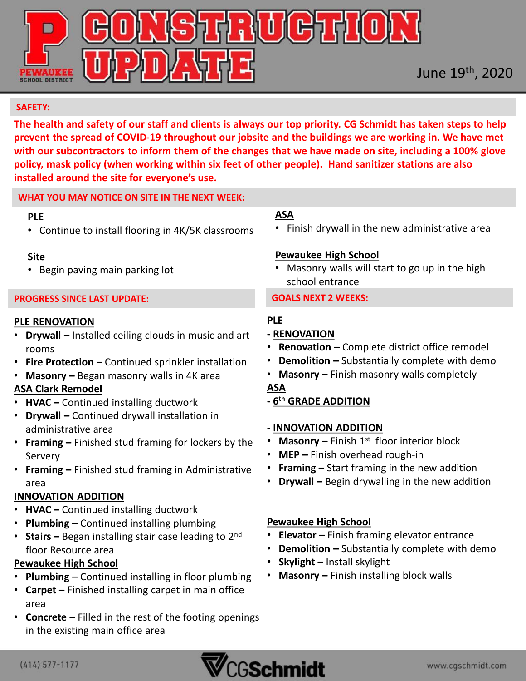

#### **SAFETY:**

**The health and safety of our staff and clients is always our top priority. CG Schmidt has taken steps to help prevent the spread of COVID-19 throughout our jobsite and the buildings we are working in. We have met with our subcontractors to inform them of the changes that we have made on site, including a 100% glove policy, mask policy (when working within six feet of other people). Hand sanitizer stations are also installed around the site for everyone's use.** 

#### **WHAT YOU MAY NOTICE ON SITE IN THE NEXT WEEK:**

#### **PLE**

• Continue to install flooring in 4K/5K classrooms

#### **Site**

• Begin paving main parking lot

#### **PROGRESS SINCE LAST UPDATE:**

#### **PLE RENOVATION**

- **Drywall –** Installed ceiling clouds in music and art rooms
- **Fire Protection –** Continued sprinkler installation
- **Masonry –** Began masonry walls in 4K area

#### **ASA Clark Remodel**

- **HVAC –** Continued installing ductwork
- **Drywall –** Continued drywall installation in administrative area
- **Framing –** Finished stud framing for lockers by the Servery
- **Framing –** Finished stud framing in Administrative area

#### **INNOVATION ADDITION**

- **HVAC –** Continued installing ductwork
- **Plumbing –** Continued installing plumbing
- **Stairs –** Began installing stair case leading to 2nd floor Resource area

#### **Pewaukee High School**

- **Plumbing –** Continued installing in floor plumbing
- **Carpet –** Finished installing carpet in main office area
- **Concrete –** Filled in the rest of the footing openings in the existing main office area

#### **ASA**

• Finish drywall in the new administrative area

#### **Pewaukee High School**

• Masonry walls will start to go up in the high school entrance

#### **GOALS NEXT 2 WEEKS:**

## **PLE**

- **- RENOVATION**
- **Renovation –** Complete district office remodel
- **Demolition –** Substantially complete with demo
- **Masonry –** Finish masonry walls completely

## **ASA**

**- 6 th GRADE ADDITION**

#### **- INNOVATION ADDITION**

- Masonry Finish 1<sup>st</sup> floor interior block
- **MEP –** Finish overhead rough-in
- **Framing –** Start framing in the new addition
- **Drywall –** Begin drywalling in the new addition

### **Pewaukee High School**

- **Elevator –** Finish framing elevator entrance
- **Demolition –** Substantially complete with demo
- **Skylight –** Install skylight
- **Masonry –** Finish installing block walls

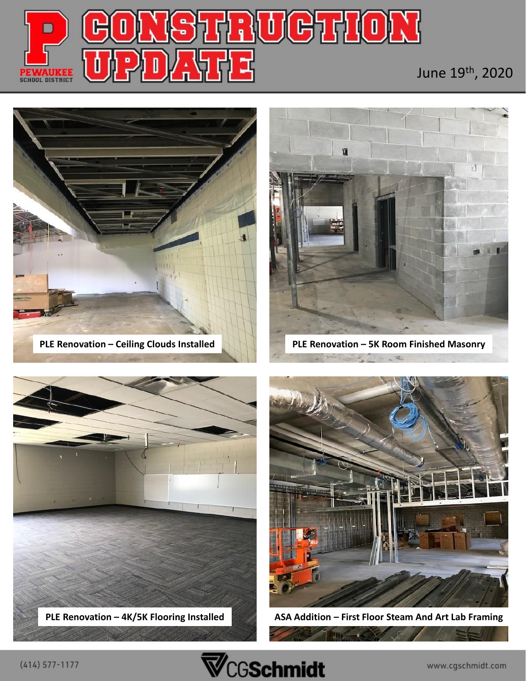

## June 19th, 2020





**PLE Renovation – 5K Room Finished Masonry**





**ASA Addition – First Floor Steam And Art Lab Framing**

**The** ۰